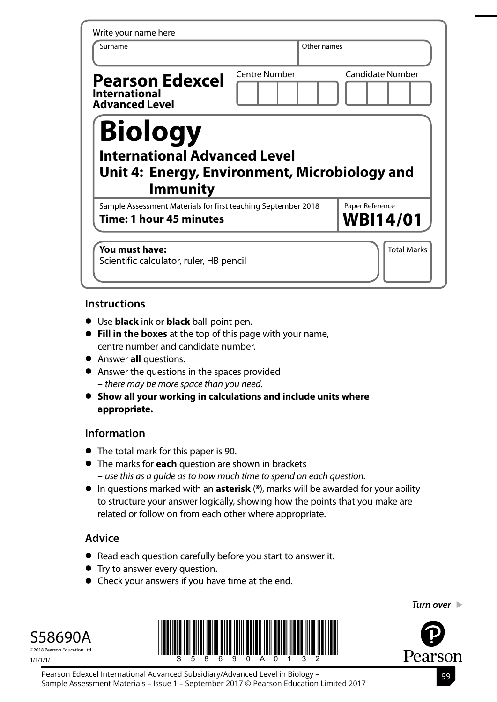| Write your name here                                                                                                      |                      |                         |
|---------------------------------------------------------------------------------------------------------------------------|----------------------|-------------------------|
| Surname                                                                                                                   |                      | Other names             |
| <b>Pearson Edexcel</b><br><b>International</b><br><b>Advanced Level</b>                                                   | <b>Centre Number</b> | <b>Candidate Number</b> |
| <b>Biology</b><br><b>International Advanced Level</b><br>Unit 4: Energy, Environment, Microbiology and<br><b>Immunity</b> |                      |                         |
| Sample Assessment Materials for first teaching September 2018                                                             |                      | Paper Reference         |
| Time: 1 hour 45 minutes                                                                                                   |                      | <b>WBI14/01</b>         |
| You must have:                                                                                                            |                      | <b>Total Marks</b>      |

## **Instructions**

- **•** Use **black** ink or **black** ball-point pen.
- **• Fill in the boxes** at the top of this page with your name, centre number and candidate number.
- **•** Answer **all** questions.
- **•** Answer the questions in the spaces provided – *there may be more space than you need*.
- **• Show all your working in calculations and include units where appropriate.**

## **Information**

- **•** The total mark for this paper is 90.
- **•** The marks for **each** question are shown in brackets – *use this as a guide as to how much time to spend on each question*.
- **•** In questions marked with an **asterisk** (**\***), marks will be awarded for your ability to structure your answer logically, showing how the points that you make are related or follow on from each other where appropriate.

## **Advice**

- **•** Read each question carefully before you start to answer it.
- **•** Try to answer every question.
- **•** Check your answers if you have time at the end.

*Turn over* 

Pearson

©2018 Pearson Education Ltd.

1/1/1/1/



99 Pearson Edexcel International Advanced Subsidiary/Advanced Level in Biology – Sample Assessment Materials – Issue 1 – September 2017 © Pearson Education Limited 2017

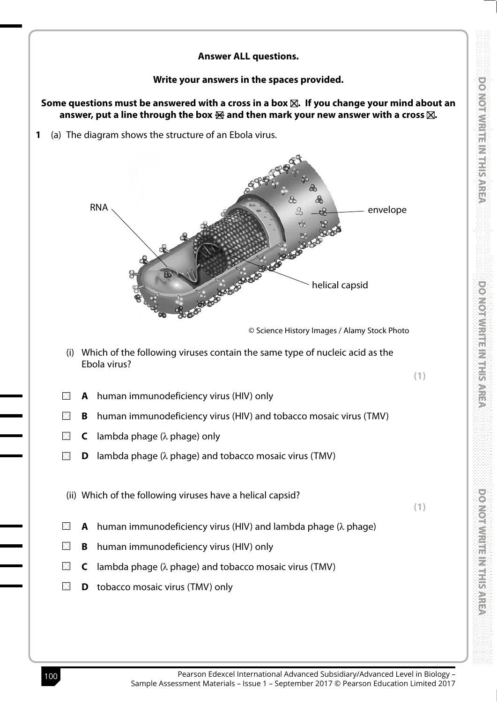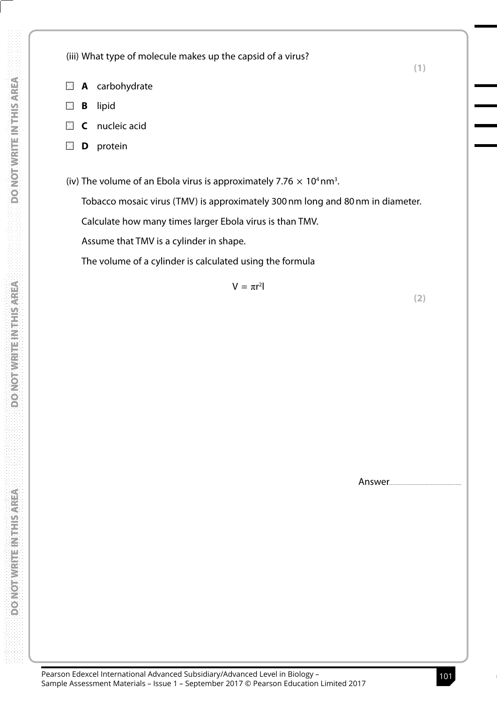**ZECLAR AND ELISTATE ON SOL** 

(iii) What type of molecule makes up the capsid of a virus?

- **A** carbohydrate
- **B** lipid
- **C** nucleic acid
- **D** protein

(iv) The volume of an Ebola virus is approximately 7.76  $\times$  10<sup>4</sup> nm<sup>3</sup>.

Tobacco mosaic virus (TMV) is approximately 300nm long and 80nm in diameter.

Calculate how many times larger Ebola virus is than TMV.

Assume that TMV is a cylinder in shape.

The volume of a cylinder is calculated using the formula

 $V = \pi r^2$ 

**(2)**

**(1)**

Answer...............................................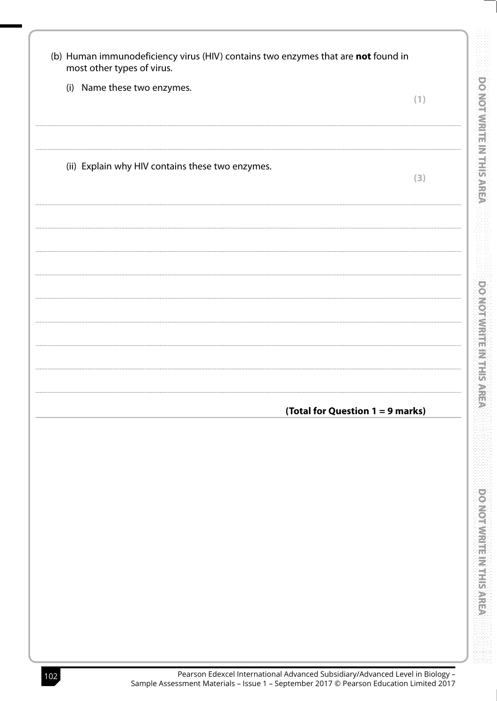| (i) Name these two enzymes.                      |                                  |     |
|--------------------------------------------------|----------------------------------|-----|
|                                                  |                                  | (1) |
|                                                  |                                  |     |
| (ii) Explain why HIV contains these two enzymes. |                                  | (3) |
|                                                  |                                  |     |
|                                                  |                                  |     |
|                                                  |                                  |     |
|                                                  |                                  |     |
|                                                  |                                  |     |
|                                                  | (Total for Question 1 = 9 marks) |     |
|                                                  |                                  |     |
|                                                  |                                  |     |
|                                                  |                                  |     |
|                                                  |                                  |     |
|                                                  |                                  |     |
|                                                  |                                  |     |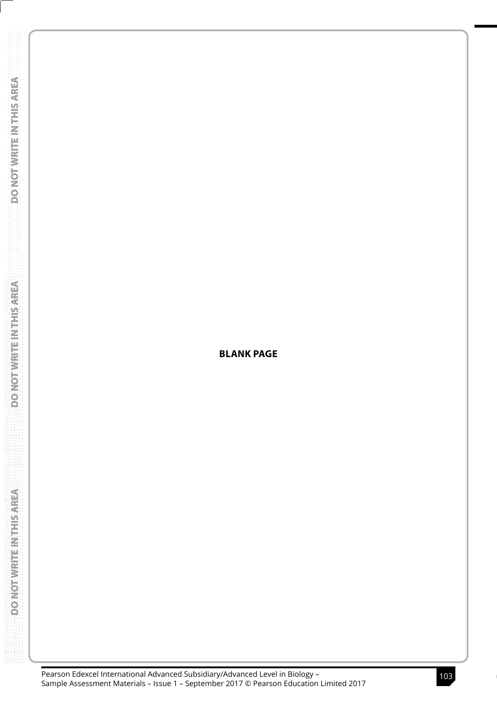**BLANK PAGE** 

**DO NOT WRITEIN THIS AREA** 

**VERVALE IN ERROY CONG** 

**DONOT WRITEIN THIS AREA**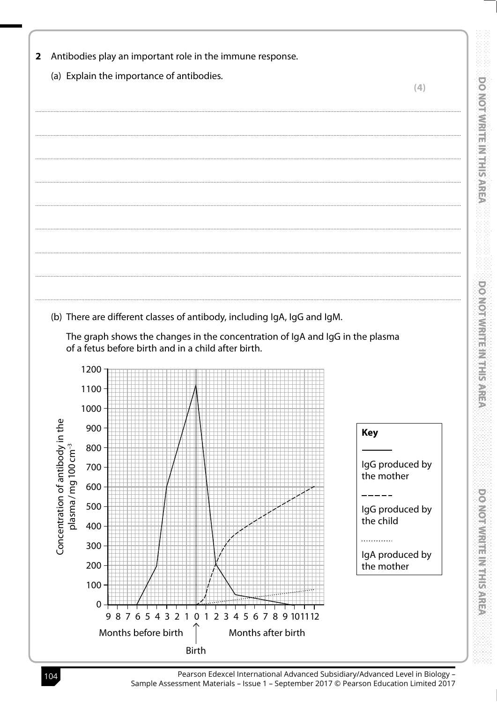|                                                                   |             | (a) Explain the importance of antibodies. |  |                               | (4) |
|-------------------------------------------------------------------|-------------|-------------------------------------------|--|-------------------------------|-----|
|                                                                   |             |                                           |  |                               |     |
|                                                                   |             |                                           |  |                               |     |
|                                                                   |             |                                           |  |                               |     |
|                                                                   |             |                                           |  |                               |     |
|                                                                   |             |                                           |  |                               |     |
|                                                                   |             |                                           |  |                               |     |
|                                                                   |             |                                           |  |                               |     |
|                                                                   |             |                                           |  |                               |     |
|                                                                   |             |                                           |  |                               |     |
|                                                                   |             |                                           |  |                               |     |
| 1200<br>1100<br>1000                                              | 900         |                                           |  | <b>Key</b>                    |     |
|                                                                   | 800         |                                           |  |                               |     |
|                                                                   |             |                                           |  | IgG produced by<br>the mother |     |
|                                                                   | 700         |                                           |  |                               |     |
|                                                                   | 600         |                                           |  |                               |     |
|                                                                   | 500         |                                           |  | IgG produced by               |     |
|                                                                   | 400         |                                           |  | the child                     |     |
| Concentration of antibody in the<br>plasma/mg100 cm <sup>-3</sup> | 300         |                                           |  | IgA produced by               |     |
|                                                                   | 200         |                                           |  | the mother                    |     |
|                                                                   | $100 \cdot$ |                                           |  |                               |     |
|                                                                   |             |                                           |  |                               |     |

ä 88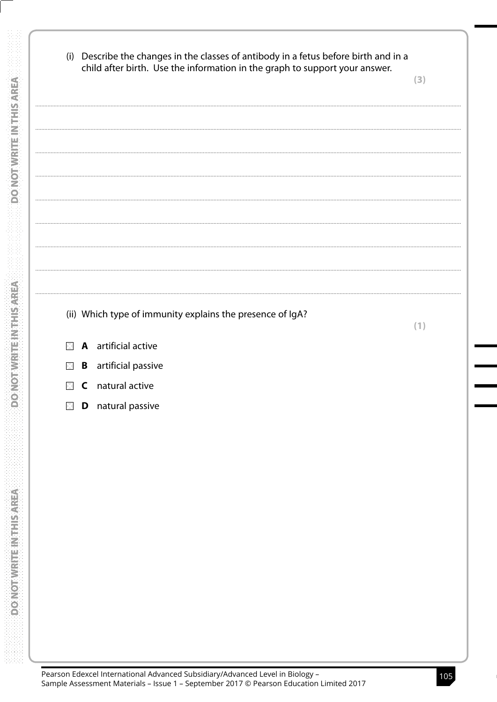|          | (i) Describe the changes in the classes of antibody in a fetus before birth and in a<br>child after birth. Use the information in the graph to support your answer. | (3) |
|----------|---------------------------------------------------------------------------------------------------------------------------------------------------------------------|-----|
|          |                                                                                                                                                                     |     |
|          |                                                                                                                                                                     |     |
|          |                                                                                                                                                                     |     |
|          |                                                                                                                                                                     |     |
|          |                                                                                                                                                                     |     |
|          |                                                                                                                                                                     |     |
|          |                                                                                                                                                                     |     |
|          |                                                                                                                                                                     |     |
|          |                                                                                                                                                                     |     |
|          |                                                                                                                                                                     |     |
|          | (ii) Which type of immunity explains the presence of IgA?                                                                                                           |     |
| $\times$ | <b>A</b> artificial active                                                                                                                                          | (1) |
| $\times$ | <b>B</b> artificial passive                                                                                                                                         |     |
|          | $\blacksquare$ <b>C</b> natural active                                                                                                                              |     |

**DO NOT WRITE INTHIS AREA** 

**DO NOT WRITEIN THIS AREA** 

**DONOT WRITEIN THIS AREA** 

8988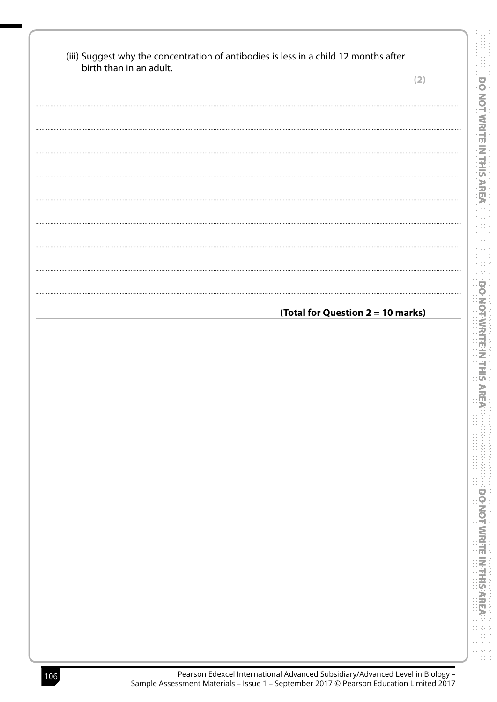| birth than in an adult. | (2)                               |
|-------------------------|-----------------------------------|
|                         |                                   |
|                         |                                   |
|                         |                                   |
|                         |                                   |
|                         |                                   |
|                         |                                   |
|                         |                                   |
|                         |                                   |
|                         |                                   |
|                         |                                   |
|                         |                                   |
|                         |                                   |
|                         |                                   |
|                         | (Total for Question 2 = 10 marks) |
|                         |                                   |
|                         |                                   |
|                         |                                   |
|                         |                                   |
|                         |                                   |
|                         |                                   |
|                         |                                   |
|                         |                                   |
|                         |                                   |
|                         |                                   |
|                         |                                   |
|                         |                                   |
|                         |                                   |
|                         |                                   |
|                         |                                   |
|                         |                                   |
|                         |                                   |
|                         |                                   |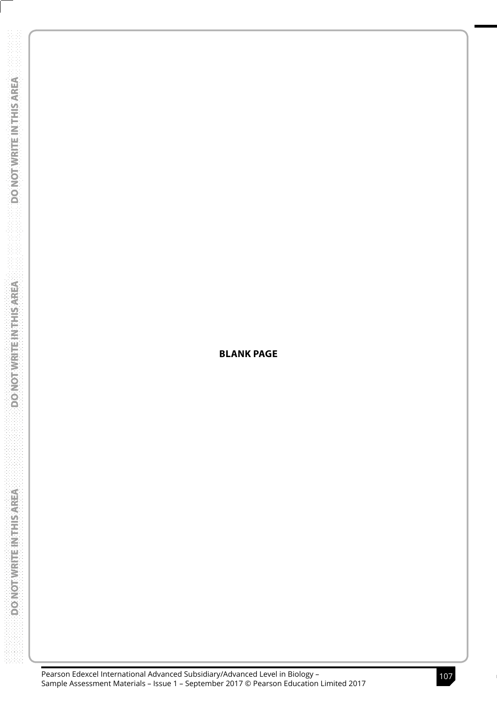**BLANK PAGE** 

**DO NOT WRITEIN THIS AREA** 

**VERVALE IN ERROY CONG** 

**DONOT WRITEIN THIS AREA**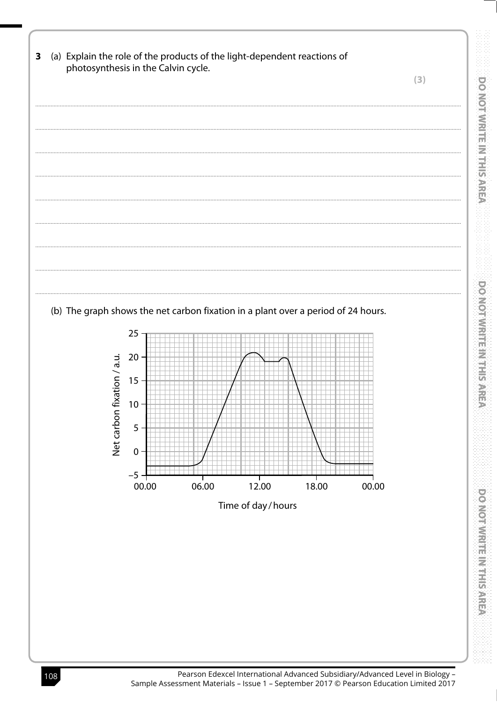(a) Explain the role of the products of the light-dependent reactions of  $\overline{\mathbf{3}}$ photosynthesis in the Calvin cycle.  $(3)$ **DO NOTIVIRIE IN THIS AREA DOTWRITEIN TENNES** (b) The graph shows the net carbon fixation in a plant over a period of 24 hours. 25 20 Net carbon fixation / a.u.  $15$  $10$ 5  $\overline{0}$  $-5$ 06.00 00.00 12.00 18.00 00.00 **DONOTWRITEIN EINERARE** Time of day/hours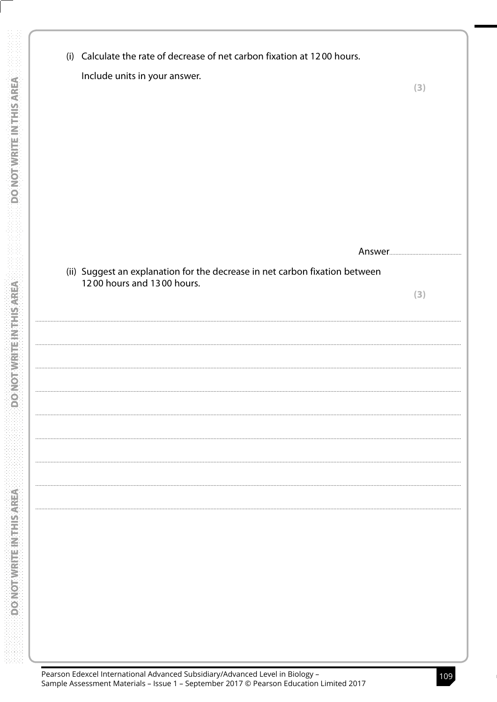| (i) Calculate the rate of decrease of net carbon fixation at 1200 hours.    |        |
|-----------------------------------------------------------------------------|--------|
| Include units in your answer.                                               |        |
|                                                                             | (3)    |
|                                                                             |        |
|                                                                             |        |
|                                                                             |        |
|                                                                             |        |
|                                                                             |        |
|                                                                             |        |
|                                                                             |        |
|                                                                             |        |
|                                                                             | Answer |
| (ii) Suggest an explanation for the decrease in net carbon fixation between |        |
| 1200 hours and 1300 hours.                                                  |        |
|                                                                             | (3)    |
|                                                                             |        |
|                                                                             |        |
|                                                                             |        |
|                                                                             |        |
|                                                                             |        |
|                                                                             |        |
|                                                                             |        |
|                                                                             |        |
|                                                                             |        |
|                                                                             |        |
|                                                                             |        |
|                                                                             |        |
|                                                                             |        |
|                                                                             |        |
|                                                                             |        |
|                                                                             |        |
|                                                                             |        |
|                                                                             |        |
|                                                                             |        |
|                                                                             |        |

**DO NOT WRITE IN THIS AREA** 

**DONOT WRITEINTHIS AREA** 

**DOING THE NETHIS AREA**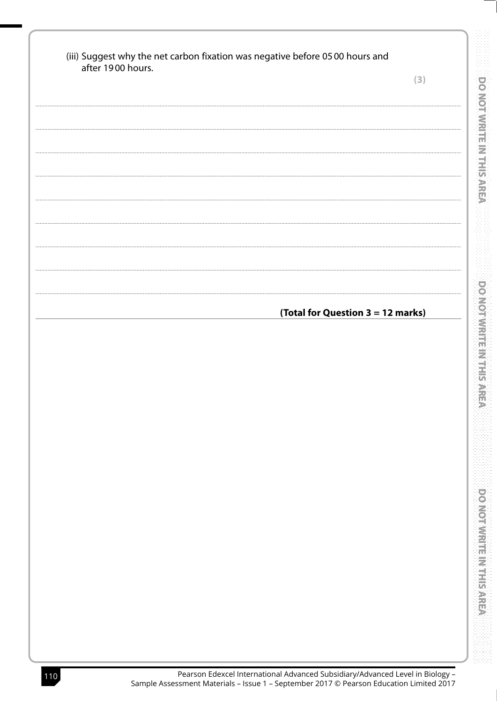| after 1900 hours. | (3)                               |
|-------------------|-----------------------------------|
|                   |                                   |
|                   |                                   |
|                   |                                   |
|                   |                                   |
|                   |                                   |
|                   |                                   |
|                   |                                   |
|                   |                                   |
|                   |                                   |
|                   |                                   |
|                   |                                   |
|                   |                                   |
|                   | (Total for Question 3 = 12 marks) |
|                   |                                   |
|                   |                                   |
|                   |                                   |
|                   |                                   |
|                   |                                   |
|                   |                                   |
|                   |                                   |
|                   |                                   |
|                   |                                   |
|                   |                                   |
|                   |                                   |
|                   |                                   |
|                   |                                   |
|                   |                                   |
|                   |                                   |
|                   |                                   |
|                   |                                   |
|                   |                                   |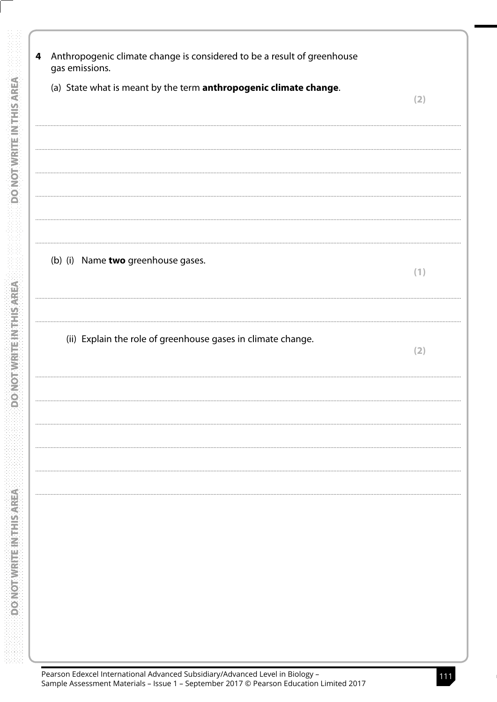Anthropogenic climate change is considered to be a result of greenhouse 4 gas emissions. (a) State what is meant by the term anthropogenic climate change.  $(2)$ (b) (i) Name two greenhouse gases.  $(1)$ (ii) Explain the role of greenhouse gases in climate change.  $(2)$ 

**DO NOT WRITEIN THIS AREA** 

**DO NOT WRITEIN THIS AREA** 

**TERRES LIBINE III SAMBIGNO**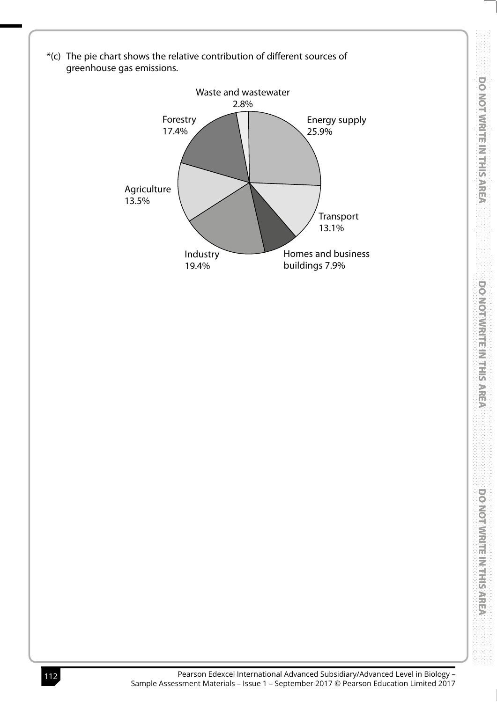

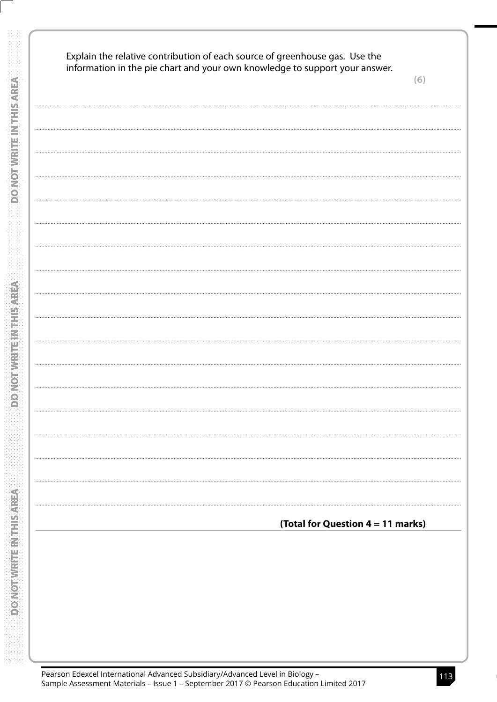| Explain the relative contribution of each source of greenhouse gas. Use the<br>information in the pie chart and your own knowledge to support your answer. | (6) |
|------------------------------------------------------------------------------------------------------------------------------------------------------------|-----|
|                                                                                                                                                            |     |
|                                                                                                                                                            |     |
|                                                                                                                                                            |     |
|                                                                                                                                                            |     |
|                                                                                                                                                            |     |
|                                                                                                                                                            |     |
|                                                                                                                                                            |     |
|                                                                                                                                                            |     |
|                                                                                                                                                            |     |
|                                                                                                                                                            |     |
|                                                                                                                                                            |     |
|                                                                                                                                                            |     |
|                                                                                                                                                            |     |
|                                                                                                                                                            |     |
|                                                                                                                                                            |     |
|                                                                                                                                                            |     |
|                                                                                                                                                            |     |
|                                                                                                                                                            |     |
|                                                                                                                                                            |     |
|                                                                                                                                                            |     |
|                                                                                                                                                            |     |
| (Total for Question 4 = 11 marks)                                                                                                                          |     |
|                                                                                                                                                            |     |
|                                                                                                                                                            |     |
|                                                                                                                                                            |     |
|                                                                                                                                                            |     |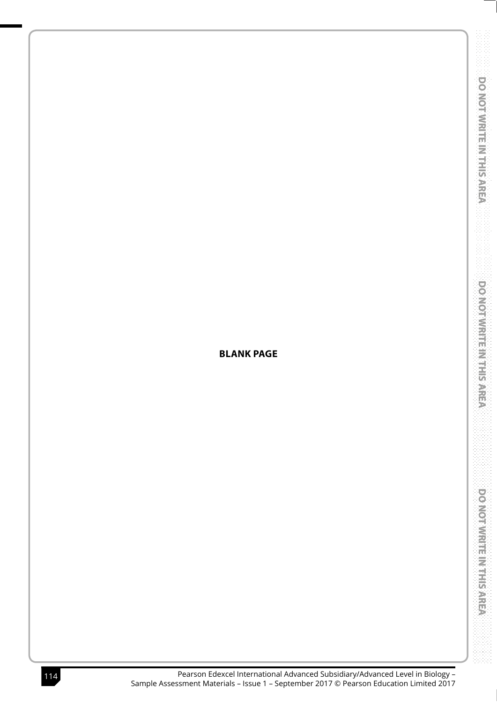89898

**BLANK PAGE**

Pearson Edexcel International Advanced Subsidiary/Advanced Level in Biology –<br>Sample Assessment Materials – Issue 1 – September 2017 © Pearson Education Limited 2017 Sample Assessment Materials – Issue 1 – September 2017 © Pearson Education Limited 2017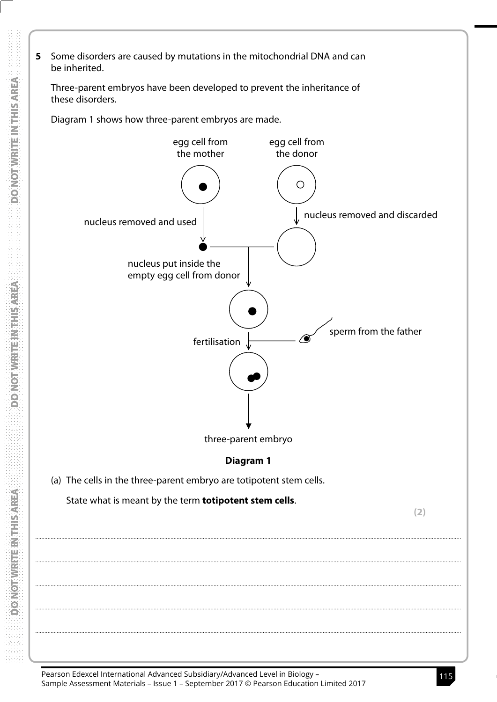**5** Some disorders are caused by mutations in the mitochondrial DNA and can be inherited.

Three-parent embryos have been developed to prevent the inheritance of these disorders.

Diagram 1 shows how three-parent embryos are made.

**DO NOT WRITE IN THIS AREA DO NOT WRITE IN THIS AREA DO NOT WRITE IN THIS AREA**

<u>VELVÁSLEJ VELVELISTVO V</u>

**DO NOTAWATE NATTISFAREA** 

**ACTIVISHITE NEWSPAPEA** 

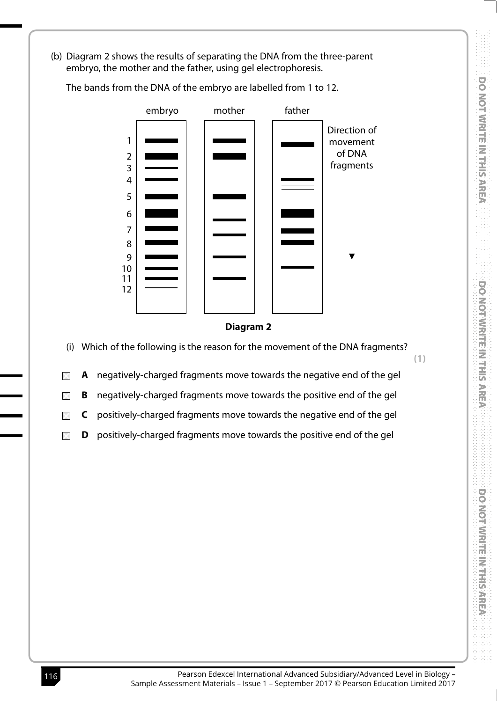(b) Diagram 2 shows the results of separating the DNA from the three-parent embryo, the mother and the father, using gel electrophoresis.

The bands from the DNA of the embryo are labelled from 1 to 12.





- (i) Which of the following is the reason for the movement of the DNA fragments?
- negatively-charged fragments move towards the negative end of the gel A  $\boxtimes$
- negatively-charged fragments move towards the positive end of the gel B  $\boxtimes$
- positively-charged fragments move towards the negative end of the gel  $\mathbb{X}$  $\mathsf{C}$
- positively-charged fragments move towards the positive end of the gel  $\times$ D

 $(1)$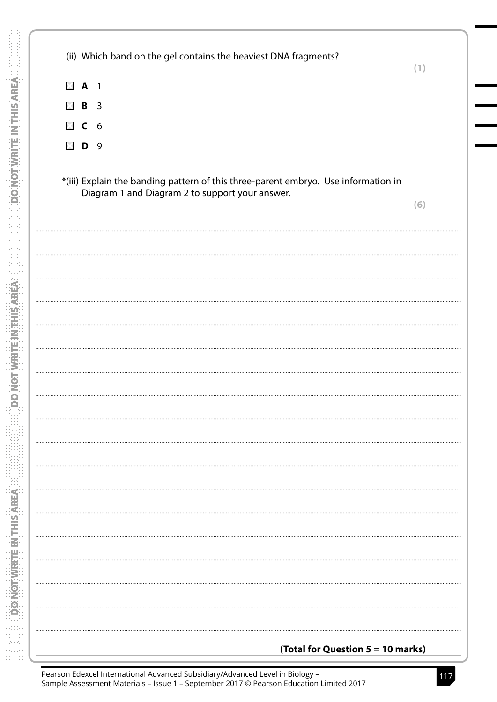| (ii) Which band on the gel contains the heaviest DNA fragments?                                                                       | (1) |
|---------------------------------------------------------------------------------------------------------------------------------------|-----|
| $\boxtimes$ A 1                                                                                                                       |     |
| <b>■ B</b> 3                                                                                                                          |     |
| $\boxtimes$ C 6                                                                                                                       |     |
| $\times$<br>D 9                                                                                                                       |     |
| *(iii) Explain the banding pattern of this three-parent embryo. Use information in<br>Diagram 1 and Diagram 2 to support your answer. | (6) |
|                                                                                                                                       |     |
|                                                                                                                                       |     |
|                                                                                                                                       |     |
|                                                                                                                                       |     |
|                                                                                                                                       |     |
|                                                                                                                                       |     |
|                                                                                                                                       |     |
|                                                                                                                                       |     |
|                                                                                                                                       |     |
|                                                                                                                                       |     |
|                                                                                                                                       |     |
|                                                                                                                                       |     |
|                                                                                                                                       |     |
|                                                                                                                                       |     |
|                                                                                                                                       |     |
|                                                                                                                                       |     |
|                                                                                                                                       |     |
|                                                                                                                                       |     |
| (Total for Ouestion $5 = 10$ marks)                                                                                                   |     |

DO NOT WRITEIN THIS AREA

**DO NOT WRITEINTHIS AREA** 

**DONOT WRITEINTHIS?AREA**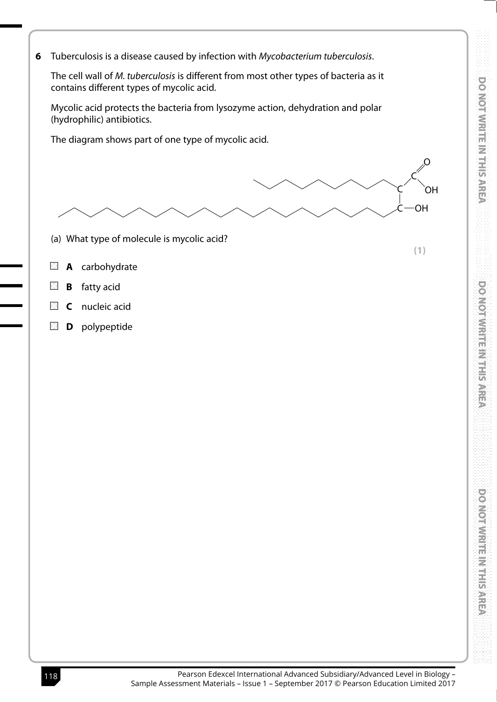**6** Tuberculosis is a disease caused by infection with *Mycobacterium tuberculosis*.

The cell wall of *M. tuberculosis* is different from most other types of bacteria as it contains different types of mycolic acid.

Mycolic acid protects the bacteria from lysozyme action, dehydration and polar (hydrophilic) antibiotics.

The diagram shows part of one type of mycolic acid.



- (a) What type of molecule is mycolic acid?
- **A** carbohydrate
- **B** fatty acid
- **C** nucleic acid
- **D** polypeptide

**(1)**

**DO NOT WRITE IN THE INTERNATION** 

**DO NOT WRITE IN THIS AREA**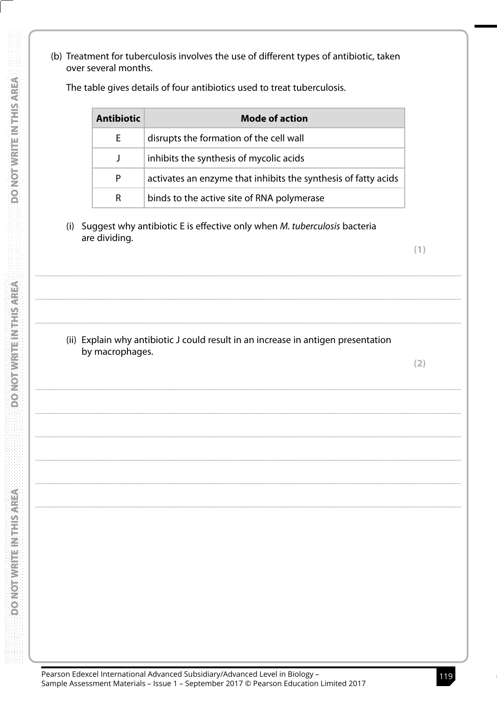(b) Treatment for tuberculosis involves the use of different types of antibiotic, taken over several months.

| <b>Antibiotic</b> | <b>Mode of action</b>                                          |
|-------------------|----------------------------------------------------------------|
| E                 | disrupts the formation of the cell wall                        |
| J                 | inhibits the synthesis of mycolic acids                        |
| P                 | activates an enzyme that inhibits the synthesis of fatty acids |
| R                 | binds to the active site of RNA polymerase                     |

.....................................................................................................................................................................................................................................................................................

.....................................................................................................................................................................................................................................................................................

.....................................................................................................................................................................................................................................................................................

.....................................................................................................................................................................................................................................................................................

.....................................................................................................................................................................................................................................................................................

.....................................................................................................................................................................................................................................................................................

.....................................................................................................................................................................................................................................................................................

.....................................................................................................................................................................................................................................................................................

.....................................................................................................................................................................................................................................................................................

The table gives details of four antibiotics used to treat tuberculosis.

 (i) Suggest why antibiotic E is effective only when *M. tuberculosis* bacteria are dividing.

 (ii) Explain why antibiotic J could result in an increase in antigen presentation by macrophages.

**DO NOT WRITE IN THIS AREA DO NOT WRITE IN THIS AREA DO NOT WRITE IN THIS AREA**

**VERVOLUME II NEI VANGONO** 

**VECTASTER** NEED WATCONG

**ACTIVITY IN THIS AREA** 

**(2)**

**(1)**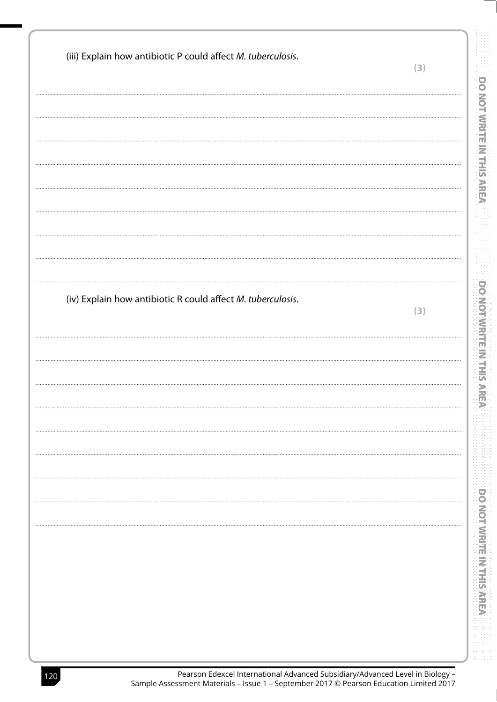| (iii) Explain how antibiotic P could affect M. tuberculosis. | (3) |
|--------------------------------------------------------------|-----|
|                                                              |     |
|                                                              |     |
| (iv) Explain how antibiotic R could affect M. tuberculosis.  | (3) |
|                                                              |     |
|                                                              |     |
|                                                              |     |
|                                                              |     |
|                                                              |     |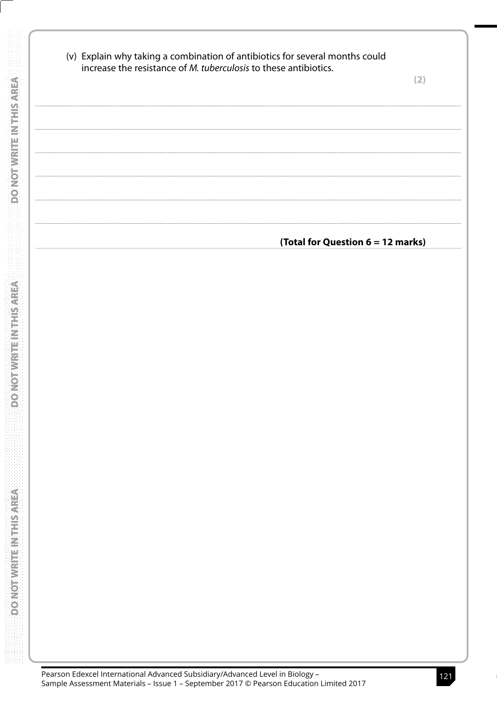| (v) Explain why taking a combination of antibiotics for several months could<br>increase the resistance of M. tuberculosis to these antibiotics. |     |
|--------------------------------------------------------------------------------------------------------------------------------------------------|-----|
|                                                                                                                                                  | (2) |
|                                                                                                                                                  |     |
|                                                                                                                                                  |     |
|                                                                                                                                                  |     |
|                                                                                                                                                  |     |
|                                                                                                                                                  |     |
|                                                                                                                                                  |     |
| (Total for Question 6 = 12 marks)                                                                                                                |     |
|                                                                                                                                                  |     |
|                                                                                                                                                  |     |
|                                                                                                                                                  |     |
|                                                                                                                                                  |     |
|                                                                                                                                                  |     |
|                                                                                                                                                  |     |
|                                                                                                                                                  |     |
|                                                                                                                                                  |     |
|                                                                                                                                                  |     |
|                                                                                                                                                  |     |
|                                                                                                                                                  |     |
|                                                                                                                                                  |     |
|                                                                                                                                                  |     |
|                                                                                                                                                  |     |
|                                                                                                                                                  |     |
|                                                                                                                                                  |     |
|                                                                                                                                                  |     |
|                                                                                                                                                  |     |
|                                                                                                                                                  |     |

**DO NOT WRITEINTHIS AREA** 

**DO NOT WRITEIN THIS AREA** 

**DO NOT WRITEIN THIS AREA**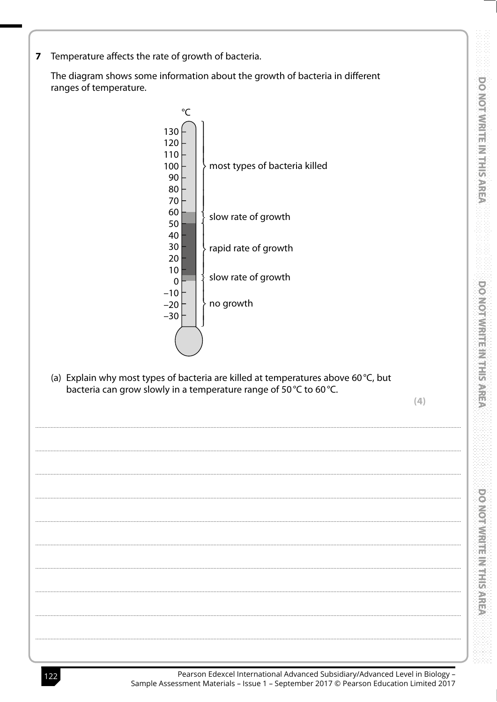Temperature affects the rate of growth of bacteria.  $\overline{7}$ The diagram shows some information about the growth of bacteria in different ranges of temperature.  $\circ$ C 130 120 110 most types of bacteria killed 100 90 80 70 60 slow rate of growth 50 40 30 rapid rate of growth 20  $10$ slow rate of growth  $\Omega$  $-10$ no growth  $-20$  $-30$ (a) Explain why most types of bacteria are killed at temperatures above 60 °C, but bacteria can grow slowly in a temperature range of 50 °C to 60 °C.  $(4)$ 

**DO NOT WRITE IN THIS AREA** 

**DOINOTAIRE IN EINERG** 

**DOIMARTHEMENTS**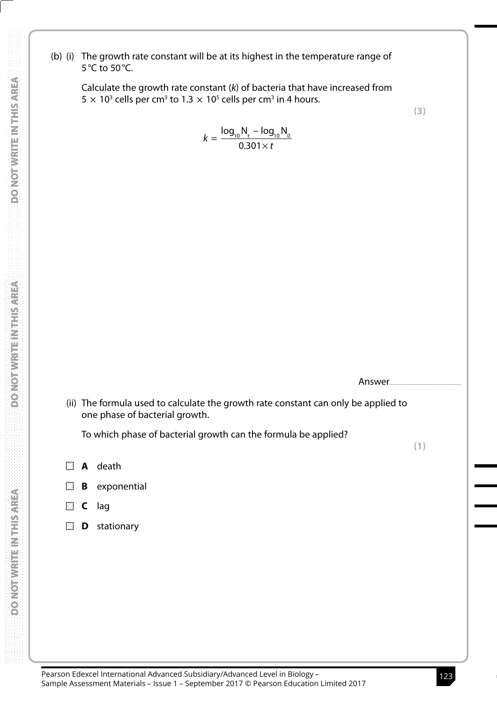(b) (i) The growth rate constant will be at its highest in the temperature range of 5°C to 50°C.

Calculate the growth rate constant  $(k)$  of bacteria that have increased from  $5 \times 10^3$  cells per cm<sup>3</sup> to 1.3  $\times$  10<sup>5</sup> cells per cm<sup>3</sup> in 4 hours.

 $(3)$ 

$$
k = \frac{\log_{10} N_{\rm t} - \log_{10} N_{\rm o}}{0.301 \times t}
$$

Answer (ii) The formula used to calculate the growth rate constant can only be applied to one phase of bacterial growth. To which phase of bacterial growth can the formula be applied?  $(1)$ A death  $\blacksquare$  **B** exponential **C** lag

D stationary

**DO NOT WRITEIN THIS AREA** 

**DO NOT WRITEIN THIS AREA** 

**VENVERING IN THE WARD ON**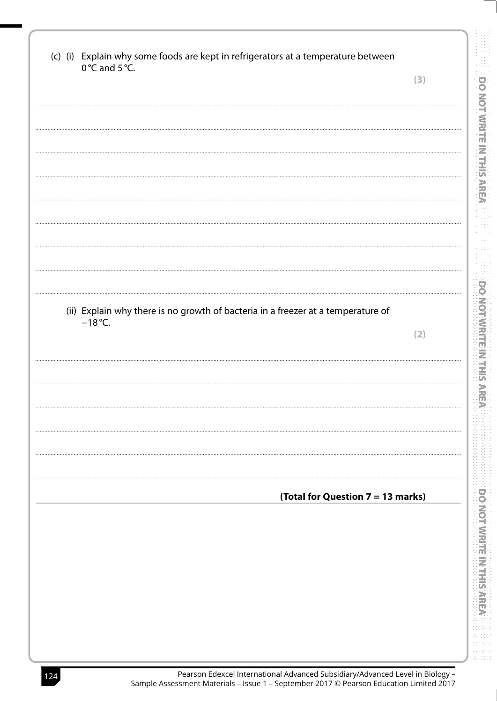(c) (i) Explain why some foods are kept in refrigerators at a temperature between 0°C and 5°C.  $(3)$ **DO NOTIVIRIE IN THIS AREA DOMOTAWA EINERNESSER** (ii) Explain why there is no growth of bacteria in a freezer at a temperature of  $-18$ °C.  $(2)$ **DO NOTWRITEIN THIS AREA** (Total for Question 7 = 13 marks)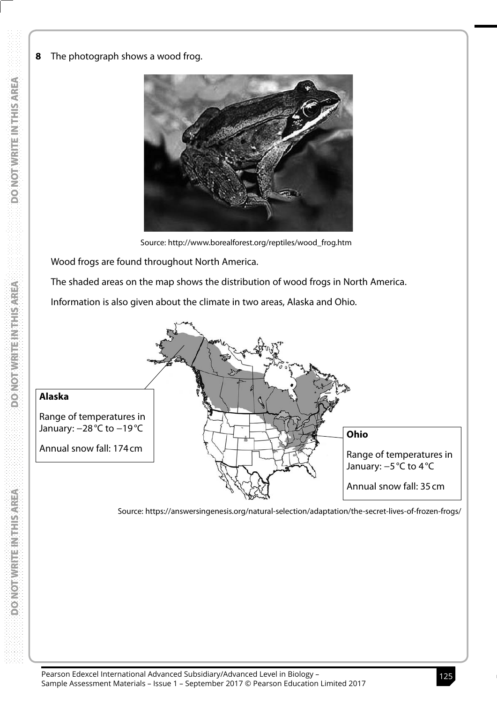## The photograph shows a wood frog. 8

**ADDITION TO NOT WELFUL AND SOLUTION** 

**DO NOTAWATE NATTISFAREA** 

**ZECLAR AND ELISTATE ON SOL** 



Source: http://www.borealforest.org/reptiles/wood\_frog.htm

Wood frogs are found throughout North America.

The shaded areas on the map shows the distribution of wood frogs in North America.

Information is also given about the climate in two areas, Alaska and Ohio.



Source: https://answersingenesis.org/natural-selection/adaptation/the-secret-lives-of-frozen-frogs/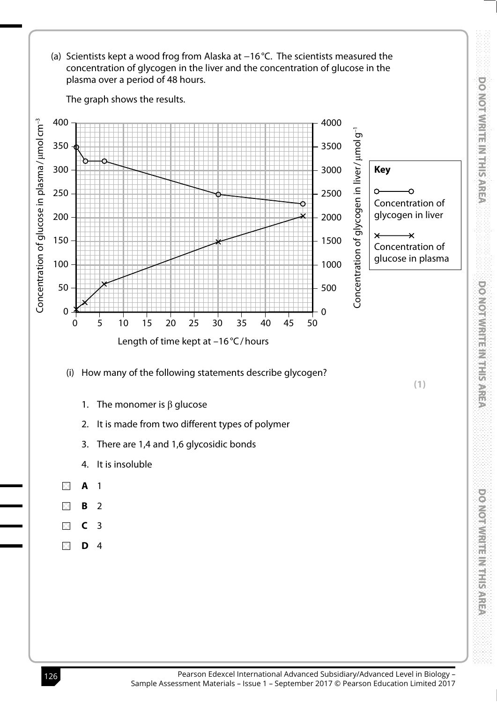

- **B** 2
- **C** 3
- **D** 4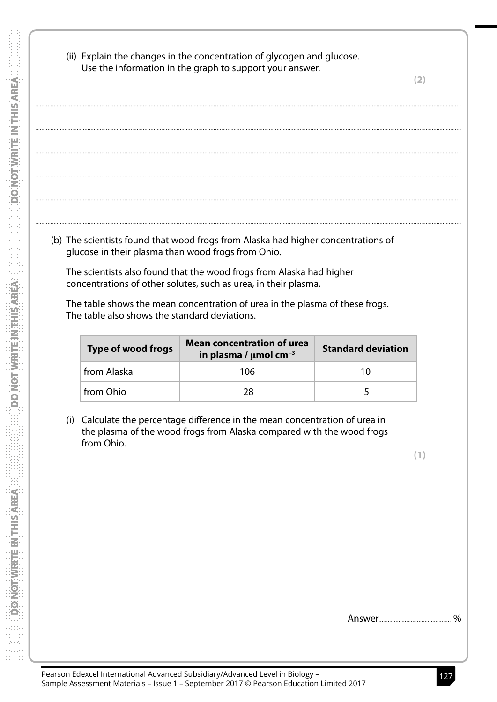(ii) Explain the changes in the concentration of glycogen and glucose. Use the information in the graph to support your answer.

.....................................................................................................................................................................................................................................................................................

.....................................................................................................................................................................................................................................................................................

.....................................................................................................................................................................................................................................................................................

.....................................................................................................................................................................................................................................................................................

.....................................................................................................................................................................................................................................................................................

.....................................................................................................................................................................................................................................................................................

(b) The scientists found that wood frogs from Alaska had higher concentrations of glucose in their plasma than wood frogs from Ohio.

 The scientists also found that the wood frogs from Alaska had higher concentrations of other solutes, such as urea, in their plasma.

**DO NOT WRITE IN THIS AREA DO NOT WRITE IN THIS AREA DO NOT WRITE IN THIS AREA**

**VENVALLE VIELLE INVELONG** 

 $\overline{0}$  in  $\overline{0}$  in  $\overline{0}$  in  $\overline{0}$  in  $\overline{0}$  in  $\overline{0}$  in  $\overline{0}$  in  $\overline{0}$  in  $\overline{0}$ 

**DO NOT WRITEIN THIS AREA** 

 The table shows the mean concentration of urea in the plasma of these frogs. The table also shows the standard deviations.

| <b>Type of wood frogs</b> | <b>Mean concentration of urea</b><br>in plasma / $\mu$ mol cm <sup>-3</sup> | <b>Standard deviation</b> |
|---------------------------|-----------------------------------------------------------------------------|---------------------------|
| from Alaska               | 106                                                                         | 10                        |
| from Ohio                 | 28                                                                          |                           |

 (i) Calculate the percentage difference in the mean concentration of urea in the plasma of the wood frogs from Alaska compared with the wood frogs from Ohio.

**(1)**

Answer............................................... %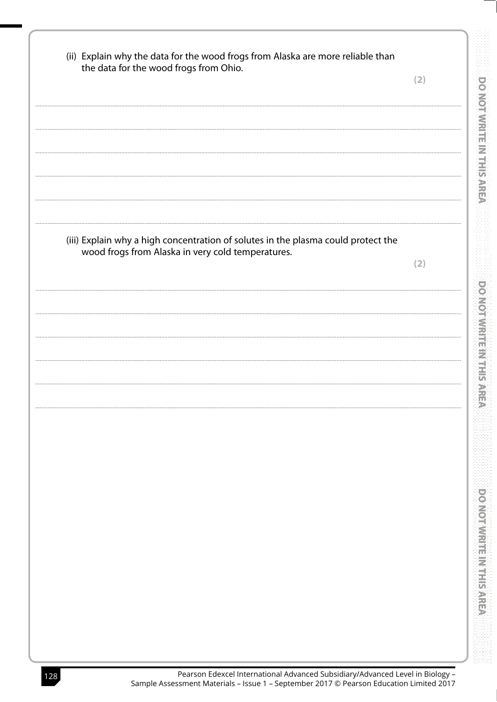| the data for the wood frogs from Ohio.                                                                                                 | (2) |
|----------------------------------------------------------------------------------------------------------------------------------------|-----|
|                                                                                                                                        |     |
|                                                                                                                                        |     |
|                                                                                                                                        |     |
|                                                                                                                                        |     |
|                                                                                                                                        |     |
|                                                                                                                                        |     |
|                                                                                                                                        |     |
|                                                                                                                                        |     |
|                                                                                                                                        |     |
| (iii) Explain why a high concentration of solutes in the plasma could protect the<br>wood frogs from Alaska in very cold temperatures. |     |
|                                                                                                                                        | (2) |
|                                                                                                                                        |     |
|                                                                                                                                        |     |
|                                                                                                                                        |     |
|                                                                                                                                        |     |
|                                                                                                                                        |     |
|                                                                                                                                        |     |
|                                                                                                                                        |     |
|                                                                                                                                        |     |
|                                                                                                                                        |     |
|                                                                                                                                        |     |
|                                                                                                                                        |     |
|                                                                                                                                        |     |
|                                                                                                                                        |     |
|                                                                                                                                        |     |
|                                                                                                                                        |     |
|                                                                                                                                        |     |
|                                                                                                                                        |     |
|                                                                                                                                        |     |
|                                                                                                                                        |     |
|                                                                                                                                        |     |
|                                                                                                                                        |     |
|                                                                                                                                        |     |
|                                                                                                                                        |     |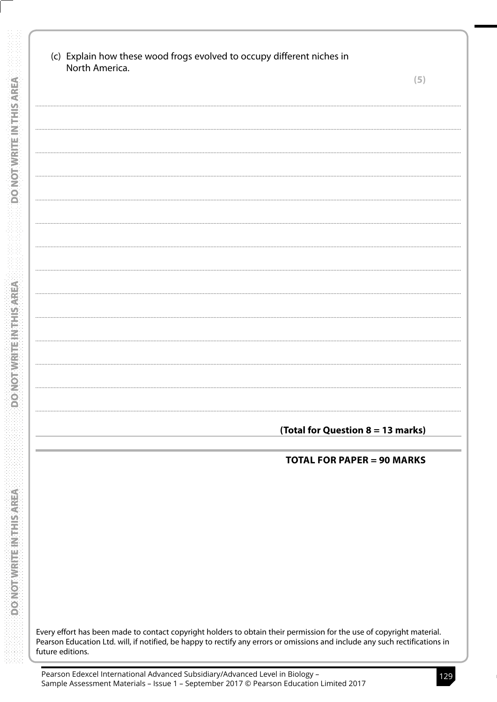|                                   | (5) |
|-----------------------------------|-----|
|                                   |     |
|                                   |     |
|                                   |     |
|                                   |     |
|                                   |     |
|                                   |     |
|                                   |     |
|                                   |     |
|                                   |     |
|                                   |     |
|                                   |     |
|                                   |     |
|                                   |     |
|                                   |     |
|                                   |     |
|                                   |     |
|                                   |     |
| (Total for Question 8 = 13 marks) |     |
| <b>TOTAL FOR PAPER = 90 MARKS</b> |     |
|                                   |     |
|                                   |     |
|                                   |     |
|                                   |     |
|                                   |     |
|                                   |     |
|                                   |     |
|                                   |     |

**DO NOT WRITEIN THIS AREA** 

**DO NOT WRITEIN THIS AREA** 

**DO NOT WRITEIN THIS AREA**